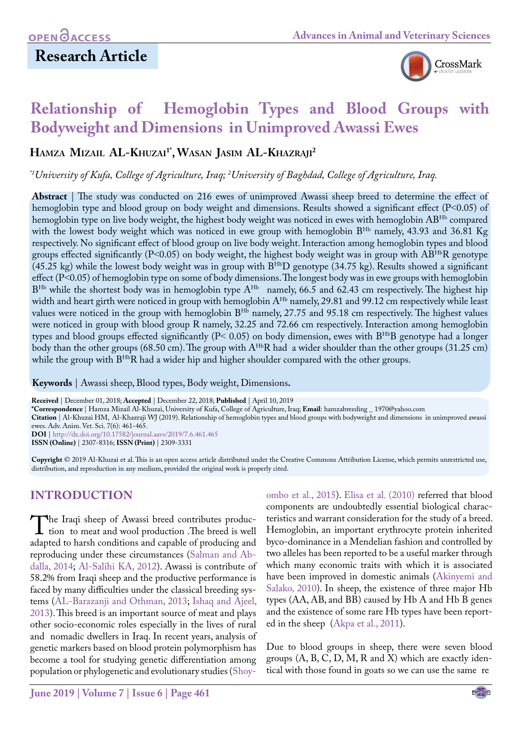## **Research Article**

[ombo et al., 2015\)](#page-4-3). [Elisa et al. \(2010\)](#page-4-4) referred that blood components are undoubtedly essential biological characteristics and warrant consideration for the study of a breed. Hemoglobin, an important erythrocyte protein inherited byco-dominance in a Mendelian fashion and controlled by two alleles has been reported to be a useful marker through which many economic traits with which it is associated have been improved in domestic animals ([Akinyemi and](#page-4-5) [Salako, 2010\)](#page-4-5). In sheep, the existence of three major Hb



# **Relationship of Hemoglobin Types and Blood Groups with Bodyweight and Dimensions in Unimproved Awassi Ewes**

**Hamza Mizail AL-Khuzai1\*, Wasan Jasim AL-Khazraji 2**

*\*1University of Kufa, College of Agriculture, Iraq; 2 University of Baghdad, College of Agriculture, Iraq.*

**Abstract** | The study was conducted on 216 ewes of unimproved Awassi sheep breed to determine the effect of hemoglobin type and blood group on body weight and dimensions. Results showed a significant effect (P<0.05) of hemoglobin type on live body weight, the highest body weight was noticed in ewes with hemoglobin AB<sup>Hb</sup> compared with the lowest body weight which was noticed in ewe group with hemoglobin B<sup>Hb</sup> namely, 43.93 and 36.81 Kg respectively. No significant effect of blood group on live body weight. Interaction among hemoglobin types and blood groups effected significantly ( $P<0.05$ ) on body weight, the highest body weight was in group with  $AB^{Hb}R$  genotype  $(45.25 \text{ kg})$  while the lowest body weight was in group with  $B^{\text{Hb}}D$  genotype  $(34.75 \text{ kg})$ . Results showed a significant effect (P˂0.05) of hemoglobin type on some of body dimensions. The longest body was in ewe groups with hemoglobin B<sup>Hb</sup> while the shortest body was in hemoglobin type A<sup>Hb</sup> namely, 66.5 and 62.43 cm respectively. The highest hip width and heart girth were noticed in group with hemoglobin A<sup>Hb</sup> namely, 29.81 and 99.12 cm respectively while least values were noticed in the group with hemoglobin B<sup>Hb</sup> namely, 27.75 and 95.18 cm respectively. The highest values were noticed in group with blood group R namely, 32.25 and 72.66 cm respectively. Interaction among hemoglobin types and blood groups effected significantly ( $P$ < 0.05) on body dimension, ewes with  $B^{Hb}B$  genotype had a longer body than the other groups (68.50 cm). The group with A<sup>Hb</sup>R had a wider shoulder than the other groups (31.25 cm) while the group with  $B^{Hb}R$  had a wider hip and higher shoulder compared with the other groups.

**Keywords** | Awassi sheep, Blood types, Body weight, Dimensions**.**

**Received** | December 01, 2018; **Accepted** | December 22, 2018; **Published** | April 10, 2019

**\*Correspondence** | Hamza Mizail Al-Khuzai, University of Kufa, College of Agriculture, Iraq; **Email**: hamzabreeding \_ 1970@yahoo.com

**Citation** | Al-Khuzai HM, Al-Khazraji WJ (2019). Relationship of hemoglobin types and blood groups with bodyweight and dimensions in unimproved awassi ewes. Adv. Anim. Vet. Sci. 7(6): 461-465.

**DOI** | [http://dx.doi.org/10.17582/journal.aavs/201](http://dx.doi.org/10.17582/journal.aavs/2019/7.6.461.465)9/7.6.461.465 **ISSN (Online)** | 2307-8316; **ISSN (Print)** | 2309-3331

**Copyright** © 2019 Al-Khuzai et al. This is an open access article distributed under the Creative Commons Attribution License, which permits unrestricted use, distribution, and reproduction in any medium, provided the original work is properly cited.

## **Introduction**

The Iraqi sheep of Awassi breed contributes production to meat and wool production .The breed is well<br>adanted to harsh conditions and canable of producing and adapted to harsh conditions and capable of producing and reproducing under these circumstances ([Salman and Ab](#page-4-0)[dalla, 2014;](#page-4-0) Al-Salihi KA, 2012). Awassi is contribute of 58.2% from Iraqi sheep and the productive performance is faced by many difficulties under the classical breeding systems ([AL-Barazanji and Othman, 2013;](#page-4-1) [Ishaq and Ajeel,](#page-4-2)  [2013](#page-4-2)). This breed is an important source of meat and plays other socio-economic roles especially in the lives of rural and nomadic dwellers in Iraq. In recent years, analysis of genetic markers based on blood protein polymorphism has become a tool for studying genetic differentiation among population or phylogenetic and evolutionary studies ([Shoy-](#page-4-3)

types (AA, AB, and BB) caused by Hb A and Hb B genes and the existence of some rare Hb types have been reported in the sheep ([Akpa et al., 2011\)](#page-4-6). Due to blood groups in sheep, there were seven blood groups  $(A, B, C, D, M, R$  and  $X)$  which are exactly identical with those found in goats so we can use the same re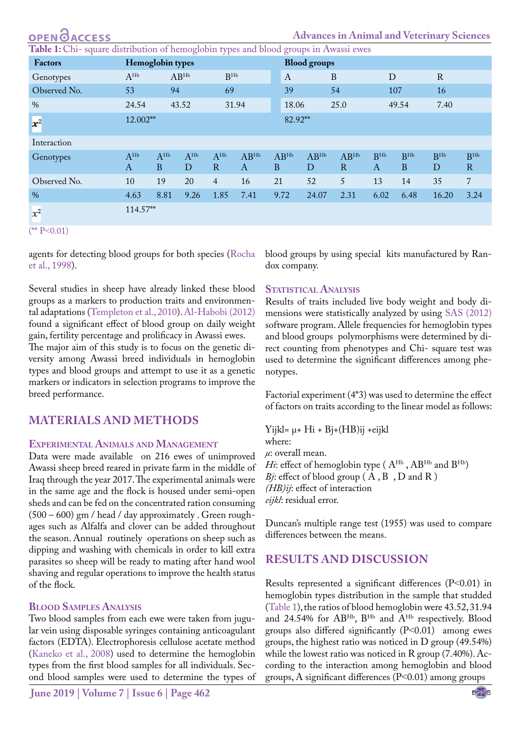<span id="page-1-0"></span>

| <b>OPEN ØACCESS</b>                                                                  |                              |                          |                 |                |                           |                |                     | <b>Advances in Animal and Veterinary Sciences</b> |               |                                 |               |                      |  |  |
|--------------------------------------------------------------------------------------|------------------------------|--------------------------|-----------------|----------------|---------------------------|----------------|---------------------|---------------------------------------------------|---------------|---------------------------------|---------------|----------------------|--|--|
| Table 1: Chi-square distribution of hemoglobin types and blood groups in Awassi ewes |                              |                          |                 |                |                           |                |                     |                                                   |               |                                 |               |                      |  |  |
| <b>Factors</b>                                                                       | Hemoglobin types             |                          |                 |                |                           |                | <b>Blood</b> groups |                                                   |               |                                 |               |                      |  |  |
| Genotypes                                                                            | $A^{\text{Hb}}$<br>$AB^{Hb}$ |                          | B <sub>HP</sub> |                | $\boldsymbol{A}$          |                | B                   |                                                   | D             |                                 |               |                      |  |  |
| Observed No.                                                                         | 53                           | 94                       |                 | 69             |                           | 39             |                     | 54                                                |               | 107                             | 16            |                      |  |  |
| $\frac{0}{0}$                                                                        | 24.54                        |                          | 43.52           |                | 31.94                     | 18.06          |                     | 25.0                                              |               | 49.54                           | 7.40          |                      |  |  |
| $x^2$                                                                                | 12.002**                     |                          |                 |                |                           | 82.92**        |                     |                                                   |               |                                 |               |                      |  |  |
| Interaction                                                                          |                              |                          |                 |                |                           |                |                     |                                                   |               |                                 |               |                      |  |  |
| Genotypes                                                                            | $A^{\rm Hb}$<br>$\bf{A}$     | $A^{Hb}$<br><sub>B</sub> | $A^{Hb}$<br>D   | $A^{Hb}$<br>R  | $AB^{Hb}$<br>$\mathbf{A}$ | $AB^{Hb}$<br>B | $AB^{Hb}$<br>D      | $AB^{Hb}$<br>$\mathbf{R}$                         | $B_{HP}$<br>A | B <sub>HP</sub><br><sub>B</sub> | $B_{HP}$<br>D | B <sub>HP</sub><br>R |  |  |
| Observed No.                                                                         | 10                           | 19                       | 20              | $\overline{4}$ | 16                        | 21             | 52                  | 5 <sup>5</sup>                                    | 13            | 14                              | 35            | $\overline{7}$       |  |  |
| $\%$                                                                                 | 4.63                         | 8.81                     | 9.26            | 1.85           | 7.41                      | 9.72           | 24.07               | 2.31                                              | 6.02          | 6.48                            | 16.20         | 3.24                 |  |  |
| $x^2$                                                                                | 114.57**                     |                          |                 |                |                           |                |                     |                                                   |               |                                 |               |                      |  |  |
| $(*$ P<0.01)                                                                         |                              |                          |                 |                |                           |                |                     |                                                   |               |                                 |               |                      |  |  |

agents for detecting blood groups for both species [\(Rocha](#page-4-7) [et al., 1998\)](#page-4-7).

 $\Omega$ 

Several studies in sheep have already linked these blood groups as a markers to production traits and environmental adaptations [\(Templeton et al., 2010\)](#page-4-8)[. Al-Habobi \(2012\)](#page-4-9) found a significant effect of blood group on daily weight gain, fertility percentage and prolificacy in Awassi ewes.

The major aim of this study is to focus on the genetic diversity among Awassi breed individuals in hemoglobin types and blood groups and attempt to use it as a genetic markers or indicators in selection programs to improve the breed performance.

### **Materials and methods**

#### **Experimental Animals and Management**

Data were made available on 216 ewes of unimproved Awassi sheep breed reared in private farm in the middle of Iraq through the year 2017. The experimental animals were in the same age and the flock is housed under semi-open sheds and can be fed on the concentrated ration consuming (500 – 600) gm / head / day approximately . Green roughages such as Alfalfa and clover can be added throughout the season. Annual routinely operations on sheep such as dipping and washing with chemicals in order to kill extra parasites so sheep will be ready to mating after hand wool shaving and regular operations to improve the health status of the flock.

#### **Blood Samples Analysis**

Two blood samples from each ewe were taken from jugular vein using disposable syringes containing anticoagulant factors (EDTA). Electrophoresis cellulose acetate method [\(Kaneko et al., 2008](#page-4-10)) used to determine the hemoglobin types from the first blood samples for all individuals. Second blood samples were used to determine the types of blood groups by using special kits manufactured by Randox company.

#### **STATISTICAL ANALYSIS**

Results of traits included live body weight and body dimensions were statistically analyzed by using [SAS \(2012\)](#page-4-11) software program. Allele frequencies for hemoglobin types and blood groups polymorphisms were determined by direct counting from phenotypes and Chi- square test was used to determine the significant differences among phenotypes.

Factorial experiment (4\*3) was used to determine the effect of factors on traits according to the linear model as follows:

Yijkl= μ+ Hi + Bj+(HB)ij +eijkl where: *μ*: overall mean. *Hi*: effect of hemoglobin type ( $A^{Hb}$ ,  $AB^{Hb}$  and  $B^{Hb}$ ) *Bj*: effect of blood group (A, B, D and R) *(HB)ij*: effect of interaction *eijkl*: residual error.

Duncan's multiple range test (1955) was used to compare differences between the means.

### **Results and discussion**

Results represented a significant differences (P˂0.01) in hemoglobin types distribution in the sample that studded ([Table 1\)](#page-1-0), the ratios of blood hemoglobin were 43.52, 31.94 and 24.54% for ABHb, BHb and AHb respectively. Blood groups also differed significantly (P˂0.01) among ewes groups, the highest ratio was noticed in D group (49.54%) while the lowest ratio was noticed in R group (7.40%). According to the interaction among hemoglobin and blood groups, A significant differences (P˂0.01) among groups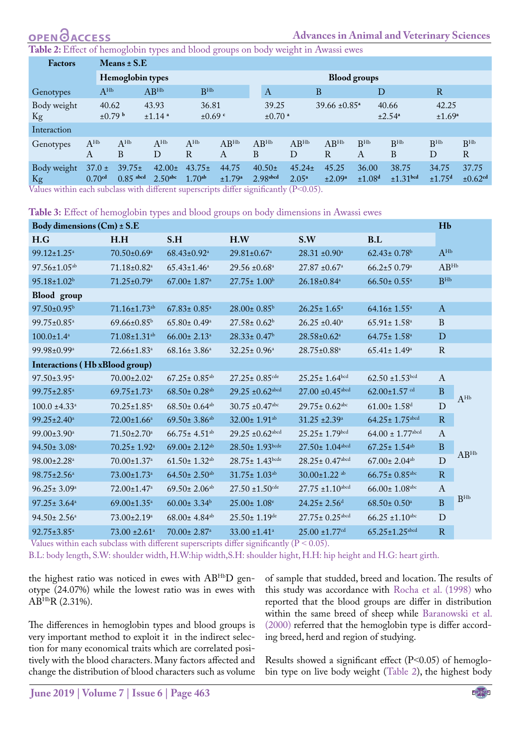<span id="page-2-0"></span>**Table 2:** Effect of hemoglobin types and blood groups on body weight in Awassi ewes

| Factors           |                                  | Means $\pm$ S.E                       |                                    |                                   |                             |                                  |                               |                               |                             |                               |                             |                                   |  |  |
|-------------------|----------------------------------|---------------------------------------|------------------------------------|-----------------------------------|-----------------------------|----------------------------------|-------------------------------|-------------------------------|-----------------------------|-------------------------------|-----------------------------|-----------------------------------|--|--|
|                   |                                  | Hemoglobin types                      |                                    | <b>Blood groups</b>               |                             |                                  |                               |                               |                             |                               |                             |                                   |  |  |
| Genotypes         | $A^{Hb}$                         |                                       | AB <sup>Hb</sup>                   | B <sub>HP</sub>                   |                             | $\boldsymbol{A}$                 |                               | B                             | D                           |                               | $\mathbb{R}$                |                                   |  |  |
| Body weight<br>Kg | 40.62<br>$\pm 0.79$ b            |                                       | 43.93<br>$±1.14$ <sup>a</sup>      | 36.81<br>$±0.69$ c                |                             | 39.25<br>$\pm 0.70$ <sup>a</sup> |                               | $39.66 \pm 0.85$ <sup>a</sup> |                             | 40.66<br>±2.54 <sup>a</sup>   | 42.25<br>±1.69 <sup>a</sup> |                                   |  |  |
| Interaction       |                                  |                                       |                                    |                                   |                             |                                  |                               |                               |                             |                               |                             |                                   |  |  |
| Genotypes         | $A^{\text{Hb}}$<br>A             | $A^{\text{Hb}}$<br>B                  | $A^{\text{Hb}}$<br>D               | $A^{Hb}$<br>R                     | $AB^{Hb}$<br>А              | $AB^{Hb}$<br>B                   | $AB^{Hb}$<br>D                | $AB^{Hb}$<br>R                | R <sub>HP</sub><br>А        | R <sub>HP</sub><br>B          | B <sub>HP</sub><br>D        | R <sup>Hb</sup><br>$\mathbf R$    |  |  |
| Body weight<br>Kg | $37.0 \pm$<br>0.70 <sup>cd</sup> | $39.75 \pm$<br>$0.85$ <sup>abcd</sup> | $42.00 \pm$<br>2.50 <sub>abc</sub> | $43.75 \pm$<br>1.70 <sup>ab</sup> | 44.75<br>±1.79 <sup>a</sup> | $40.50\pm$<br>2.98abcd           | $45.24 \pm$<br>$2.05^{\rm a}$ | 45.25<br>±2.09 <sup>a</sup>   | 36.00<br>±1.08 <sup>d</sup> | 38.75<br>±1.31 <sup>bcd</sup> | 34.75<br>±1.75 <sup>d</sup> | 37.75<br>$\pm 0.62$ <sup>cd</sup> |  |  |

Values within each subclass with different superscripts differ significantly (P˂0.05).

<span id="page-2-1"></span>**Table 3:** Effect of hemoglobin types and blood groups on body dimensions in Awassi ewes

| Body dimensions (Cm) ± S.E     |                                |                                |                                 |                                  |                                  |                 |                 |  |  |
|--------------------------------|--------------------------------|--------------------------------|---------------------------------|----------------------------------|----------------------------------|-----------------|-----------------|--|--|
| H.G                            | H.H                            | S.H                            | H.W                             | S.W                              | B.L                              |                 |                 |  |  |
| 99.12±1.25 <sup>a</sup>        | 70.50±0.69 <sup>a</sup>        | $68.43 \pm 0.92^a$             | 29.81±0.67 <sup>a</sup>         | $28.31 \pm 0.90^{\text{a}}$      | $62.43 \pm 0.78$ <sup>b</sup>    | $A^{\text{Hb}}$ |                 |  |  |
| 97.56±1.05 <sup>ab</sup>       | 71.18±0.82 <sup>a</sup>        | $65.43 \pm 1.46^a$             | $29.56 \pm 0.68$ <sup>a</sup>   | $27.87 \pm 0.67$ <sup>a</sup>    | $66.2{\pm}5$ 0.79 <sup>a</sup>   | $AB^{Hb}$       |                 |  |  |
| 95.18±1.02 <sup>b</sup>        | 71.25±0.79 <sup>a</sup>        | $67.00 \pm 1.87$ <sup>a</sup>  | $27.75 \pm 1.00^{\rm b}$        | 26.18±0.84 <sup>a</sup>          | $66.50 \pm 0.55$ <sup>a</sup>    | B <sub>HP</sub> |                 |  |  |
| Blood group                    |                                |                                |                                 |                                  |                                  |                 |                 |  |  |
| $97.50 \pm 0.95^{\rm b}$       | $71.16 \pm 1.73$ <sup>ab</sup> | $67.83 \pm 0.85$ <sup>a</sup>  | 28.00± 0.85 <sup>b</sup>        | $26.25 \pm 1.65^{\mathrm{a}}$    | $64.16 \pm 1.55^{\circ}$         | $\mathbf{A}$    |                 |  |  |
| 99.75±0.85 <sup>a</sup>        | $69.66 \pm 0.85^{\rm b}$       | $65.80 \pm 0.49^{\mathrm{a}}$  | $27.58 \pm 0.62^b$              | $26.25 \pm 0.40^{\text{a}}$      | $65.91 \pm 1.58$ <sup>a</sup>    | B               |                 |  |  |
| $100.0 \pm 1.4^a$              | 71.08±1.31 <sup>ab</sup>       | $66.00 \pm 2.13$ <sup>a</sup>  | $28.33 \pm 0.47^b$              | 28.58±0.62 <sup>a</sup>          | $64.75 \pm 1.58$ <sup>a</sup>    | $\mathbf D$     |                 |  |  |
| 99.98±0.99 <sup>a</sup>        | 72.66±1.83 <sup>a</sup>        | $68.16 \pm 3.86^a$             | $32.25 \pm 0.96^{\mathrm{a}}$   | 28.75±0.88 <sup>a</sup>          | $65.41 \pm 1.49^a$               | $\mathbf R$     |                 |  |  |
| Interactions (Hb xBlood group) |                                |                                |                                 |                                  |                                  |                 |                 |  |  |
| 97.50±3.95 <sup>a</sup>        | $70.00 \pm 2.02$ <sup>a</sup>  | $67.25 \pm 0.85$ <sup>ab</sup> | $27.25 \pm 0.85$ cde            | $25.25 \pm 1.64^{bcd}$           | $62.50 \pm 1.53$ bcd             | $\mathbf{A}$    |                 |  |  |
| 99.75±2.85 <sup>a</sup>        | $69.75 \pm 1.73$ <sup>a</sup>  | $68.50 \pm 0.28$ <sup>ab</sup> | $29.25 \pm 0.62$ abcd           | $27.00 \pm 0.45$ <sup>abcd</sup> | $62.00 \pm 1.57$ cd              | $\, {\bf B}$    | $A^{\text{Hb}}$ |  |  |
| $100.0 \pm 4.33$ <sup>a</sup>  | $70.25 \pm 1.85$ <sup>a</sup>  | $68.50 \pm 0.64$ <sup>ab</sup> | $30.75 \pm 0.47$ <sup>abc</sup> | $29.75 \pm 0.62$ <sup>abc</sup>  | $61.00 \pm 1.58$ <sup>d</sup>    | D               |                 |  |  |
| 99.25±2.40 <sup>a</sup>        | $72.00 \pm 1.66^{\circ}$       | $69.50 \pm 3.86$ <sup>ab</sup> | 32.00± 1.91 <sup>ab</sup>       | $31.25 \pm 2.39^{\circ}$         | $64.25 \pm 1.75$ abcd            | R               |                 |  |  |
| 99.00±3.90 <sup>a</sup>        | $71.50 \pm 2.70$ <sup>a</sup>  | $66.75 \pm 4.51$ <sup>ab</sup> | $29.25 \pm 0.62$ abcd           | $25.25 \pm 1.79$ bcd             | $64.00 \pm 1.77$ <sup>abcd</sup> | $\mathbf{A}$    |                 |  |  |
| $94.50 \pm 3.08^{\mathrm{a}}$  | $70.25 \pm 1.92^{\mathrm{a}}$  | $69.00 \pm 2.12^{ab}$          | $28.50 \pm 1.93$ bcde           | $27.50 \pm 1.04$ abcd            | $67.25 \pm 1.54$ <sup>ab</sup>   | $\, {\bf B}$    |                 |  |  |
| 98.00±2.28 <sup>a</sup>        | 70.00±1.37 <sup>a</sup>        | $61.50 \pm 1.32$ <sup>ab</sup> | $28.75 \pm 1.43$ bcde           | $28.25 \pm 0.47$ abcd            | $67.00 \pm 2.04$ <sup>ab</sup>   | D               | $AB^{Hb}$       |  |  |
| 98.75±2.56 <sup>a</sup>        | 73.00±1.73 <sup>a</sup>        | $64.50 \pm 2.50$ <sup>ab</sup> | $31.75 \pm 1.03$ <sup>ab</sup>  | $30.00 \pm 1.22$ <sup>ab</sup>   | $66.75 \pm 0.85$ <sup>abc</sup>  | R               |                 |  |  |
| $96.25 \pm 3.09^a$             | $72.00 \pm 1.47$ <sup>a</sup>  | $69.50 \pm 2.06$ <sup>ab</sup> | $27.50 \pm 1.50$ cde            | $27.75 \pm 1.10$ abcd            | $66.00 \pm 1.08$ abc             | $\mathbf{A}$    |                 |  |  |
| $97.25 \pm 3.64^a$             | $69.00 \pm 1.35$ <sup>a</sup>  | $60.00 \pm 3.34$ <sup>b</sup>  | $25.00 \pm 1.08$ <sup>e</sup>   | $24.25 \pm 2.56$ <sup>d</sup>    | $68.50 \pm 0.50^{\text{a}}$      | $\, {\bf B}$    | $B_{HP}$        |  |  |
| $94.50 \pm 2.56^{\circ}$       | 73.00±2.19 <sup>a</sup>        | $68.00 \pm 4.84$ <sup>ab</sup> | $25.50 \pm 1.19$ de             | $27.75 \pm 0.25$ abcd            | $66.25 \pm 1.10$ abc             | $\mathbf D$     |                 |  |  |
| 92.75±3.85 <sup>a</sup>        | $73.00 \pm 2.61$ <sup>a</sup>  | 70.00± 2.87 <sup>a</sup>       | $33.00 \pm 1.41$ <sup>a</sup>   | $25.00 \pm 1.77$ <sup>cd</sup>   | $65.25 \pm 1.25$ abcd            | R               |                 |  |  |

Values within each subclass with different superscripts differ significantly  $(P < 0.05)$ .

B.L: body length, S.W: shoulder width, H.W:hip width,S.H: shoulder hight, H.H: hip height and H.G: heart girth.

the highest ratio was noticed in ewes with ABHbD genotype (24.07%) while the lowest ratio was in ewes with  $AB^{Hb}R$  (2.31%).

The differences in hemoglobin types and blood groups is very important method to exploit it in the indirect selection for many economical traits which are correlated positively with the blood characters. Many factors affected and change the distribution of blood characters such as volume

of sample that studded, breed and location. The results of this study was accordance with [Rocha et al. \(1998\)](#page-4-7) who reported that the blood groups are differ in distribution within the same breed of sheep while [Baranowski et al.](#page-4-12)  [\(2000\)](#page-4-12) referred that the hemoglobin type is differ according breed, herd and region of studying.

Results showed a significant effect  $(P<0.05)$  of hemoglobin type on live body weight ([Table 2\)](#page-2-0), the highest body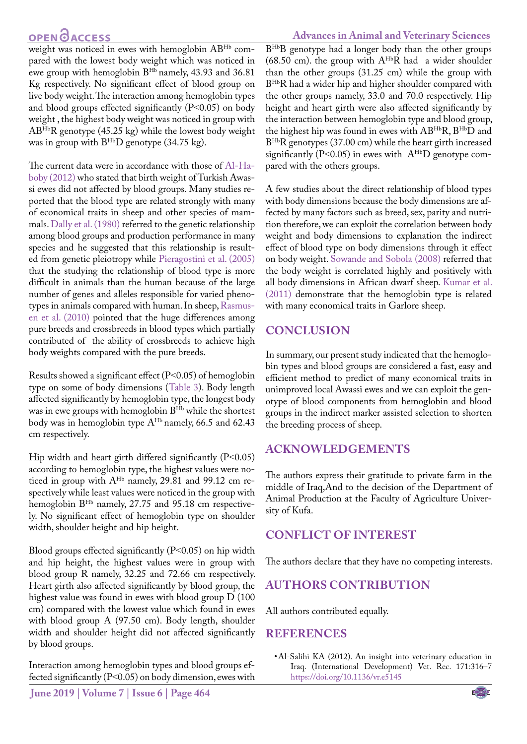## **OPEN GACCESS**

#### **Advances in Animal and Veterinary Sciences**

weight was noticed in ewes with hemoglobin ABHb compared with the lowest body weight which was noticed in ewe group with hemoglobin BHb namely, 43.93 and 36.81 Kg respectively. No significant effect of blood group on live body weight. The interaction among hemoglobin types and blood groups effected significantly (P˂0.05) on body weight , the highest body weight was noticed in group with ABHbR genotype (45.25 kg) while the lowest body weight was in group with  $B^{Hb}D$  genotype (34.75 kg).

The current data were in accordance with those of [Al-Ha](#page-4-9)[boby \(2012\)](#page-4-9) who stated that birth weight of Turkish Awassi ewes did not affected by blood groups. Many studies reported that the blood type are related strongly with many of economical traits in sheep and other species of mammals. [Dally et al. \(1980\)](#page-4-13) referred to the genetic relationship among blood groups and production performance in many species and he suggested that this relationship is resulted from genetic pleiotropy while [Pieragostini et al. \(2005\)](#page-4-14) that the studying the relationship of blood type is more difficult in animals than the human because of the large number of genes and alleles responsible for varied phenotypes in animals compared with human. In sheep, Rasmusen et al. (2010) pointed that the huge differences among pure breeds and crossbreeds in blood types which partially contributed of the ability of crossbreeds to achieve high body weights compared with the pure breeds.

Results showed a significant effect (P˂0.05) of hemoglobin type on some of body dimensions ([Table 3](#page-2-1)). Body length affected significantly by hemoglobin type, the longest body was in ewe groups with hemoglobin BHb while the shortest body was in hemoglobin type A<sup>Hb</sup> namely, 66.5 and 62.43 cm respectively.

Hip width and heart girth differed significantly  $(P<0.05)$ according to hemoglobin type, the highest values were noticed in group with A<sup>Hb</sup> namely, 29.81 and 99.12 cm respectively while least values were noticed in the group with hemoglobin B<sup>Hb</sup> namely, 27.75 and 95.18 cm respectively. No significant effect of hemoglobin type on shoulder width, shoulder height and hip height.

Blood groups effected significantly (P˂0.05) on hip width and hip height, the highest values were in group with blood group R namely, 32.25 and 72.66 cm respectively. Heart girth also affected significantly by blood group, the highest value was found in ewes with blood group D (100 cm) compared with the lowest value which found in ewes with blood group A (97.50 cm). Body length, shoulder width and shoulder height did not affected significantly by blood groups.

Interaction among hemoglobin types and blood groups effected significantly (P˂0.05) on body dimension, ewes with B<sup>Hb</sup>B genotype had a longer body than the other groups (68.50 cm). the group with  $A^{Hb}R$  had a wider shoulder than the other groups (31.25 cm) while the group with BHbR had a wider hip and higher shoulder compared with the other groups namely, 33.0 and 70.0 respectively. Hip height and heart girth were also affected significantly by the interaction between hemoglobin type and blood group, the highest hip was found in ewes with ABHbR, BHbD and BHbR genotypes (37.00 cm) while the heart girth increased significantly (P<0.05) in ewes with  $A<sup>Hb</sup>D$  genotype compared with the others groups.

A few studies about the direct relationship of blood types with body dimensions because the body dimensions are affected by many factors such as breed, sex, parity and nutrition therefore, we can exploit the correlation between body weight and body dimensions to explanation the indirect effect of blood type on body dimensions through it effect on body weight. [Sowande and Sobola \(2008\)](#page-4-15) referred that the body weight is correlated highly and positively with all body dimensions in African dwarf sheep. [Kumar et al.](#page-4-16)  [\(2011\)](#page-4-16) demonstrate that the hemoglobin type is related with many economical traits in Garlore sheep.

## **Conclusion**

In summary, our present study indicated that the hemoglobin types and blood groups are considered a fast, easy and efficient method to predict of many economical traits in unimproved local Awassi ewes and we can exploit the genotype of blood components from hemoglobin and blood groups in the indirect marker assisted selection to shorten the breeding process of sheep.

### **Acknowledgements**

The authors express their gratitude to private farm in the middle of Iraq,And to the decision of the Department of Animal Production at the Faculty of Agriculture University of Kufa.

### **Conflict of interest**

The authors declare that they have no competing interests.

### **Authors contribution**

All authors contributed equally.

#### **References**

• Al-Salihi KA (2012). An insight into veterinary education in Iraq. (International Development) Vet. Rec. 171:316–7 [https://doi.org/10.1136/vr.e5145](https://doi.org/10.1136/vr.e5145 )